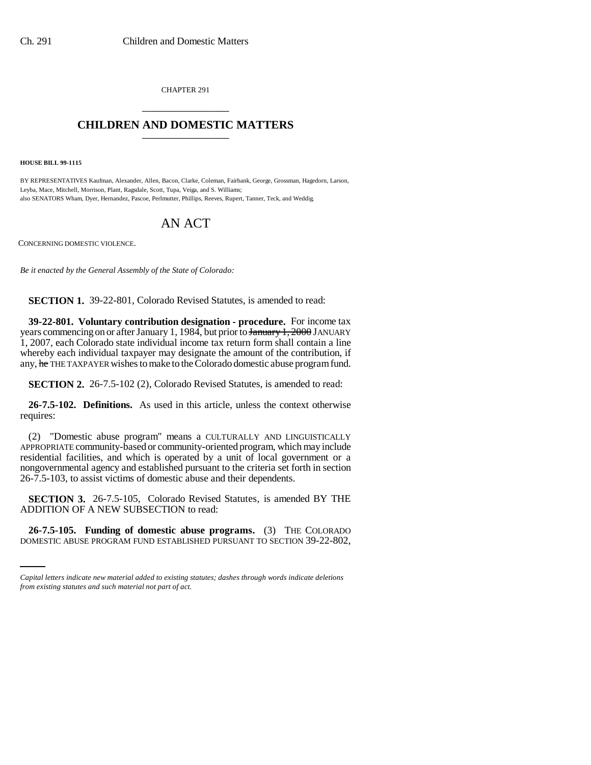CHAPTER 291 \_\_\_\_\_\_\_\_\_\_\_\_\_\_\_

## **CHILDREN AND DOMESTIC MATTERS** \_\_\_\_\_\_\_\_\_\_\_\_\_\_\_

**HOUSE BILL 99-1115** 

BY REPRESENTATIVES Kaufman, Alexander, Allen, Bacon, Clarke, Coleman, Fairbank, George, Grossman, Hagedorn, Larson, Leyba, Mace, Mitchell, Morrison, Plant, Ragsdale, Scott, Tupa, Veiga, and S. Williams; also SENATORS Wham, Dyer, Hernandez, Pascoe, Perlmutter, Phillips, Reeves, Rupert, Tanner, Teck, and Weddig.

## AN ACT

CONCERNING DOMESTIC VIOLENCE.

*Be it enacted by the General Assembly of the State of Colorado:*

**SECTION 1.** 39-22-801, Colorado Revised Statutes, is amended to read:

**39-22-801. Voluntary contribution designation - procedure.** For income tax years commencing on or after January 1, 1984, but prior to January 1, 2000 JANUARY 1, 2007, each Colorado state individual income tax return form shall contain a line whereby each individual taxpayer may designate the amount of the contribution, if any, he THE TAXPAYER wishes to make to the Colorado domestic abuse program fund.

**SECTION 2.** 26-7.5-102 (2), Colorado Revised Statutes, is amended to read:

**26-7.5-102. Definitions.** As used in this article, unless the context otherwise requires:

(2) "Domestic abuse program" means a CULTURALLY AND LINGUISTICALLY APPROPRIATE community-based or community-oriented program, which may include residential facilities, and which is operated by a unit of local government or a nongovernmental agency and established pursuant to the criteria set forth in section 26-7.5-103, to assist victims of domestic abuse and their dependents.

ADDITION OF A NEW SUBSECTION to read: **SECTION 3.** 26-7.5-105, Colorado Revised Statutes, is amended BY THE

**26-7.5-105. Funding of domestic abuse programs.** (3) THE COLORADO DOMESTIC ABUSE PROGRAM FUND ESTABLISHED PURSUANT TO SECTION 39-22-802,

*Capital letters indicate new material added to existing statutes; dashes through words indicate deletions from existing statutes and such material not part of act.*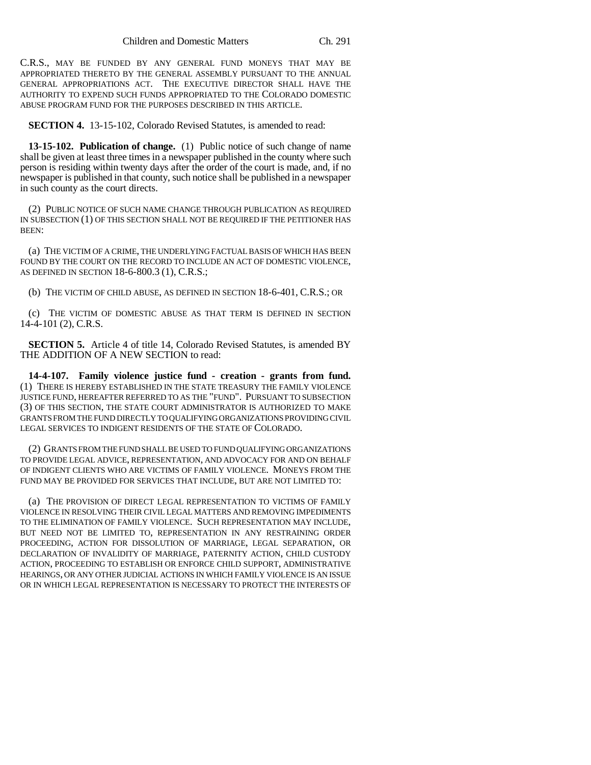C.R.S., MAY BE FUNDED BY ANY GENERAL FUND MONEYS THAT MAY BE APPROPRIATED THERETO BY THE GENERAL ASSEMBLY PURSUANT TO THE ANNUAL GENERAL APPROPRIATIONS ACT. THE EXECUTIVE DIRECTOR SHALL HAVE THE AUTHORITY TO EXPEND SUCH FUNDS APPROPRIATED TO THE COLORADO DOMESTIC ABUSE PROGRAM FUND FOR THE PURPOSES DESCRIBED IN THIS ARTICLE.

**SECTION 4.** 13-15-102, Colorado Revised Statutes, is amended to read:

**13-15-102. Publication of change.** (1) Public notice of such change of name shall be given at least three times in a newspaper published in the county where such person is residing within twenty days after the order of the court is made, and, if no newspaper is published in that county, such notice shall be published in a newspaper in such county as the court directs.

(2) PUBLIC NOTICE OF SUCH NAME CHANGE THROUGH PUBLICATION AS REQUIRED IN SUBSECTION (1) OF THIS SECTION SHALL NOT BE REQUIRED IF THE PETITIONER HAS BEEN:

(a) THE VICTIM OF A CRIME, THE UNDERLYING FACTUAL BASIS OF WHICH HAS BEEN FOUND BY THE COURT ON THE RECORD TO INCLUDE AN ACT OF DOMESTIC VIOLENCE, AS DEFINED IN SECTION 18-6-800.3 (1), C.R.S.;

(b) THE VICTIM OF CHILD ABUSE, AS DEFINED IN SECTION 18-6-401, C.R.S.; OR

(c) THE VICTIM OF DOMESTIC ABUSE AS THAT TERM IS DEFINED IN SECTION 14-4-101 (2), C.R.S.

**SECTION 5.** Article 4 of title 14, Colorado Revised Statutes, is amended BY THE ADDITION OF A NEW SECTION to read:

**14-4-107. Family violence justice fund - creation - grants from fund.** (1) THERE IS HEREBY ESTABLISHED IN THE STATE TREASURY THE FAMILY VIOLENCE JUSTICE FUND, HEREAFTER REFERRED TO AS THE "FUND". PURSUANT TO SUBSECTION (3) OF THIS SECTION, THE STATE COURT ADMINISTRATOR IS AUTHORIZED TO MAKE GRANTS FROM THE FUND DIRECTLY TO QUALIFYING ORGANIZATIONS PROVIDING CIVIL LEGAL SERVICES TO INDIGENT RESIDENTS OF THE STATE OF COLORADO.

(2) GRANTS FROM THE FUND SHALL BE USED TO FUND QUALIFYING ORGANIZATIONS TO PROVIDE LEGAL ADVICE, REPRESENTATION, AND ADVOCACY FOR AND ON BEHALF OF INDIGENT CLIENTS WHO ARE VICTIMS OF FAMILY VIOLENCE. MONEYS FROM THE FUND MAY BE PROVIDED FOR SERVICES THAT INCLUDE, BUT ARE NOT LIMITED TO:

(a) THE PROVISION OF DIRECT LEGAL REPRESENTATION TO VICTIMS OF FAMILY VIOLENCE IN RESOLVING THEIR CIVIL LEGAL MATTERS AND REMOVING IMPEDIMENTS TO THE ELIMINATION OF FAMILY VIOLENCE. SUCH REPRESENTATION MAY INCLUDE, BUT NEED NOT BE LIMITED TO, REPRESENTATION IN ANY RESTRAINING ORDER PROCEEDING, ACTION FOR DISSOLUTION OF MARRIAGE, LEGAL SEPARATION, OR DECLARATION OF INVALIDITY OF MARRIAGE, PATERNITY ACTION, CHILD CUSTODY ACTION, PROCEEDING TO ESTABLISH OR ENFORCE CHILD SUPPORT, ADMINISTRATIVE HEARINGS, OR ANY OTHER JUDICIAL ACTIONS IN WHICH FAMILY VIOLENCE IS AN ISSUE OR IN WHICH LEGAL REPRESENTATION IS NECESSARY TO PROTECT THE INTERESTS OF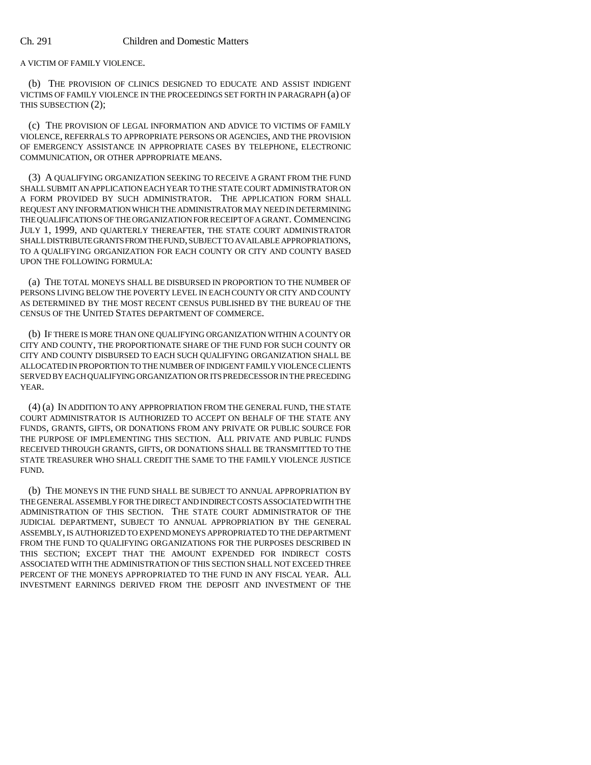A VICTIM OF FAMILY VIOLENCE.

(b) THE PROVISION OF CLINICS DESIGNED TO EDUCATE AND ASSIST INDIGENT VICTIMS OF FAMILY VIOLENCE IN THE PROCEEDINGS SET FORTH IN PARAGRAPH (a) OF THIS SUBSECTION (2);

(c) THE PROVISION OF LEGAL INFORMATION AND ADVICE TO VICTIMS OF FAMILY VIOLENCE, REFERRALS TO APPROPRIATE PERSONS OR AGENCIES, AND THE PROVISION OF EMERGENCY ASSISTANCE IN APPROPRIATE CASES BY TELEPHONE, ELECTRONIC COMMUNICATION, OR OTHER APPROPRIATE MEANS.

(3) A QUALIFYING ORGANIZATION SEEKING TO RECEIVE A GRANT FROM THE FUND SHALL SUBMIT AN APPLICATION EACH YEAR TO THE STATE COURT ADMINISTRATOR ON A FORM PROVIDED BY SUCH ADMINISTRATOR. THE APPLICATION FORM SHALL REQUEST ANY INFORMATION WHICH THE ADMINISTRATOR MAY NEED IN DETERMINING THE QUALIFICATIONS OF THE ORGANIZATION FOR RECEIPT OF A GRANT. COMMENCING JULY 1, 1999, AND QUARTERLY THEREAFTER, THE STATE COURT ADMINISTRATOR SHALL DISTRIBUTE GRANTS FROM THE FUND, SUBJECT TO AVAILABLE APPROPRIATIONS, TO A QUALIFYING ORGANIZATION FOR EACH COUNTY OR CITY AND COUNTY BASED UPON THE FOLLOWING FORMULA:

(a) THE TOTAL MONEYS SHALL BE DISBURSED IN PROPORTION TO THE NUMBER OF PERSONS LIVING BELOW THE POVERTY LEVEL IN EACH COUNTY OR CITY AND COUNTY AS DETERMINED BY THE MOST RECENT CENSUS PUBLISHED BY THE BUREAU OF THE CENSUS OF THE UNITED STATES DEPARTMENT OF COMMERCE.

(b) IF THERE IS MORE THAN ONE QUALIFYING ORGANIZATION WITHIN A COUNTY OR CITY AND COUNTY, THE PROPORTIONATE SHARE OF THE FUND FOR SUCH COUNTY OR CITY AND COUNTY DISBURSED TO EACH SUCH QUALIFYING ORGANIZATION SHALL BE ALLOCATED IN PROPORTION TO THE NUMBER OF INDIGENT FAMILY VIOLENCE CLIENTS SERVED BY EACH QUALIFYING ORGANIZATION OR ITS PREDECESSOR IN THE PRECEDING YEAR.

(4) (a) IN ADDITION TO ANY APPROPRIATION FROM THE GENERAL FUND, THE STATE COURT ADMINISTRATOR IS AUTHORIZED TO ACCEPT ON BEHALF OF THE STATE ANY FUNDS, GRANTS, GIFTS, OR DONATIONS FROM ANY PRIVATE OR PUBLIC SOURCE FOR THE PURPOSE OF IMPLEMENTING THIS SECTION. ALL PRIVATE AND PUBLIC FUNDS RECEIVED THROUGH GRANTS, GIFTS, OR DONATIONS SHALL BE TRANSMITTED TO THE STATE TREASURER WHO SHALL CREDIT THE SAME TO THE FAMILY VIOLENCE JUSTICE FUND.

(b) THE MONEYS IN THE FUND SHALL BE SUBJECT TO ANNUAL APPROPRIATION BY THE GENERAL ASSEMBLY FOR THE DIRECT AND INDIRECT COSTS ASSOCIATED WITH THE ADMINISTRATION OF THIS SECTION. THE STATE COURT ADMINISTRATOR OF THE JUDICIAL DEPARTMENT, SUBJECT TO ANNUAL APPROPRIATION BY THE GENERAL ASSEMBLY, IS AUTHORIZED TO EXPEND MONEYS APPROPRIATED TO THE DEPARTMENT FROM THE FUND TO QUALIFYING ORGANIZATIONS FOR THE PURPOSES DESCRIBED IN THIS SECTION; EXCEPT THAT THE AMOUNT EXPENDED FOR INDIRECT COSTS ASSOCIATED WITH THE ADMINISTRATION OF THIS SECTION SHALL NOT EXCEED THREE PERCENT OF THE MONEYS APPROPRIATED TO THE FUND IN ANY FISCAL YEAR. ALL INVESTMENT EARNINGS DERIVED FROM THE DEPOSIT AND INVESTMENT OF THE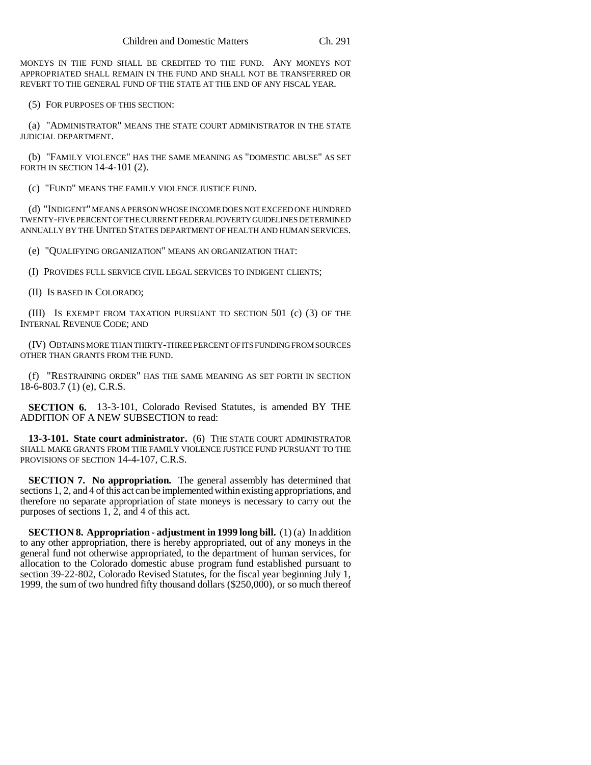MONEYS IN THE FUND SHALL BE CREDITED TO THE FUND. ANY MONEYS NOT APPROPRIATED SHALL REMAIN IN THE FUND AND SHALL NOT BE TRANSFERRED OR REVERT TO THE GENERAL FUND OF THE STATE AT THE END OF ANY FISCAL YEAR.

(5) FOR PURPOSES OF THIS SECTION:

(a) "ADMINISTRATOR" MEANS THE STATE COURT ADMINISTRATOR IN THE STATE JUDICIAL DEPARTMENT.

(b) "FAMILY VIOLENCE" HAS THE SAME MEANING AS "DOMESTIC ABUSE" AS SET FORTH IN SECTION 14-4-101 (2).

(c) "FUND" MEANS THE FAMILY VIOLENCE JUSTICE FUND.

(d) "INDIGENT" MEANS A PERSON WHOSE INCOME DOES NOT EXCEED ONE HUNDRED TWENTY-FIVE PERCENT OF THE CURRENT FEDERAL POVERTY GUIDELINES DETERMINED ANNUALLY BY THE UNITED STATES DEPARTMENT OF HEALTH AND HUMAN SERVICES.

(e) "QUALIFYING ORGANIZATION" MEANS AN ORGANIZATION THAT:

(I) PROVIDES FULL SERVICE CIVIL LEGAL SERVICES TO INDIGENT CLIENTS;

(II) IS BASED IN COLORADO;

(III) IS EXEMPT FROM TAXATION PURSUANT TO SECTION 501 (c) (3) OF THE INTERNAL REVENUE CODE; AND

(IV) OBTAINS MORE THAN THIRTY-THREE PERCENT OF ITS FUNDING FROM SOURCES OTHER THAN GRANTS FROM THE FUND.

(f) "RESTRAINING ORDER" HAS THE SAME MEANING AS SET FORTH IN SECTION 18-6-803.7 (1) (e), C.R.S.

**SECTION 6.** 13-3-101, Colorado Revised Statutes, is amended BY THE ADDITION OF A NEW SUBSECTION to read:

**13-3-101. State court administrator.** (6) THE STATE COURT ADMINISTRATOR SHALL MAKE GRANTS FROM THE FAMILY VIOLENCE JUSTICE FUND PURSUANT TO THE PROVISIONS OF SECTION 14-4-107, C.R.S.

**SECTION 7. No appropriation.** The general assembly has determined that sections 1, 2, and 4 of this act can be implemented within existing appropriations, and therefore no separate appropriation of state moneys is necessary to carry out the purposes of sections 1, 2, and 4 of this act.

**SECTION 8. Appropriation - adjustment in 1999 long bill.** (1) (a) In addition to any other appropriation, there is hereby appropriated, out of any moneys in the general fund not otherwise appropriated, to the department of human services, for allocation to the Colorado domestic abuse program fund established pursuant to section 39-22-802, Colorado Revised Statutes, for the fiscal year beginning July 1, 1999, the sum of two hundred fifty thousand dollars (\$250,000), or so much thereof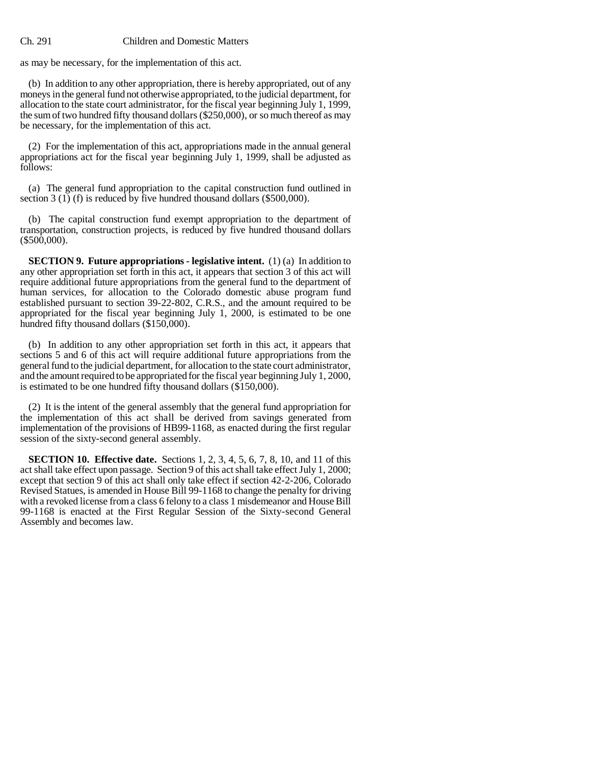## Ch. 291 Children and Domestic Matters

as may be necessary, for the implementation of this act.

(b) In addition to any other appropriation, there is hereby appropriated, out of any moneys in the general fund not otherwise appropriated, to the judicial department, for allocation to the state court administrator, for the fiscal year beginning July 1, 1999, the sum of two hundred fifty thousand dollars (\$250,000), or so much thereof as may be necessary, for the implementation of this act.

(2) For the implementation of this act, appropriations made in the annual general appropriations act for the fiscal year beginning July 1, 1999, shall be adjusted as follows:

(a) The general fund appropriation to the capital construction fund outlined in section 3  $(1)$  (f) is reduced by five hundred thousand dollars (\$500,000).

(b) The capital construction fund exempt appropriation to the department of transportation, construction projects, is reduced by five hundred thousand dollars  $(\$500,000)$ .

**SECTION 9. Future appropriations - legislative intent.** (1) (a) In addition to any other appropriation set forth in this act, it appears that section 3 of this act will require additional future appropriations from the general fund to the department of human services, for allocation to the Colorado domestic abuse program fund established pursuant to section 39-22-802, C.R.S., and the amount required to be appropriated for the fiscal year beginning July 1, 2000, is estimated to be one hundred fifty thousand dollars (\$150,000).

(b) In addition to any other appropriation set forth in this act, it appears that sections 5 and 6 of this act will require additional future appropriations from the general fund to the judicial department, for allocation to the state court administrator, and the amount required to be appropriated for the fiscal year beginning July 1, 2000, is estimated to be one hundred fifty thousand dollars (\$150,000).

(2) It is the intent of the general assembly that the general fund appropriation for the implementation of this act shall be derived from savings generated from implementation of the provisions of HB99-1168, as enacted during the first regular session of the sixty-second general assembly.

**SECTION 10. Effective date.** Sections 1, 2, 3, 4, 5, 6, 7, 8, 10, and 11 of this act shall take effect upon passage. Section 9 of this act shall take effect July 1, 2000; except that section 9 of this act shall only take effect if section 42-2-206, Colorado Revised Statues, is amended in House Bill 99-1168 to change the penalty for driving with a revoked license from a class 6 felony to a class 1 misdemeanor and House Bill 99-1168 is enacted at the First Regular Session of the Sixty-second General Assembly and becomes law.